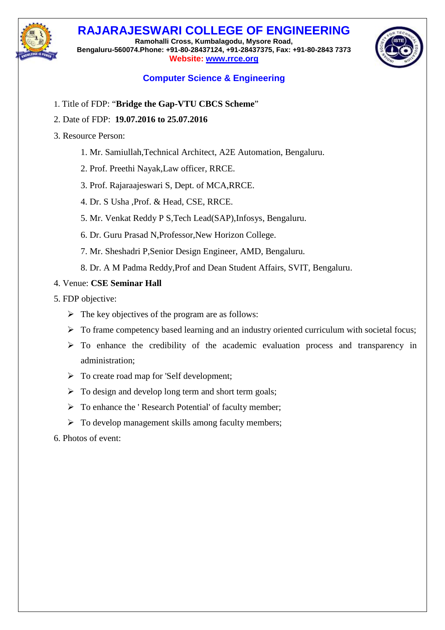## **RAJARAJESWARI COLLEGE OF ENGINEERING**

**Ramohalli Cross, Kumbalagodu, Mysore Road, Bengaluru-560074.Phone: +91-80-28437124, +91-28437375, Fax: +91-80-2843 7373 Website: [www.rrce.org](http://www.rrce.org/)**



## **Computer Science & Engineering**

- 1. Title of FDP: "**Bridge the Gap-VTU CBCS Scheme**"
- 2. Date of FDP: **19.07.2016 to 25.07.2016**
- 3. Resource Person:
	- 1. Mr. Samiullah,Technical Architect, A2E Automation, Bengaluru.
	- 2. Prof. Preethi Nayak,Law officer, RRCE.
	- 3. Prof. Rajaraajeswari S, Dept. of MCA,RRCE.
	- 4. Dr. S Usha ,Prof. & Head, CSE, RRCE.
	- 5. Mr. Venkat Reddy P S,Tech Lead(SAP),Infosys, Bengaluru.
	- 6. Dr. Guru Prasad N,Professor,New Horizon College.
	- 7. Mr. Sheshadri P,Senior Design Engineer, AMD, Bengaluru.
	- 8. Dr. A M Padma Reddy,Prof and Dean Student Affairs, SVIT, Bengaluru.
- 4. Venue: **CSE Seminar Hall**
- 5. FDP objective:
	- $\triangleright$  The key objectives of the program are as follows:
	- $\triangleright$  To frame competency based learning and an industry oriented curriculum with societal focus;
	- $\triangleright$  To enhance the credibility of the academic evaluation process and transparency in administration;
	- $\triangleright$  To create road map for 'Self development;
	- $\triangleright$  To design and develop long term and short term goals;
	- $\triangleright$  To enhance the 'Research Potential' of faculty member;
	- > To develop management skills among faculty members;

6. Photos of event: